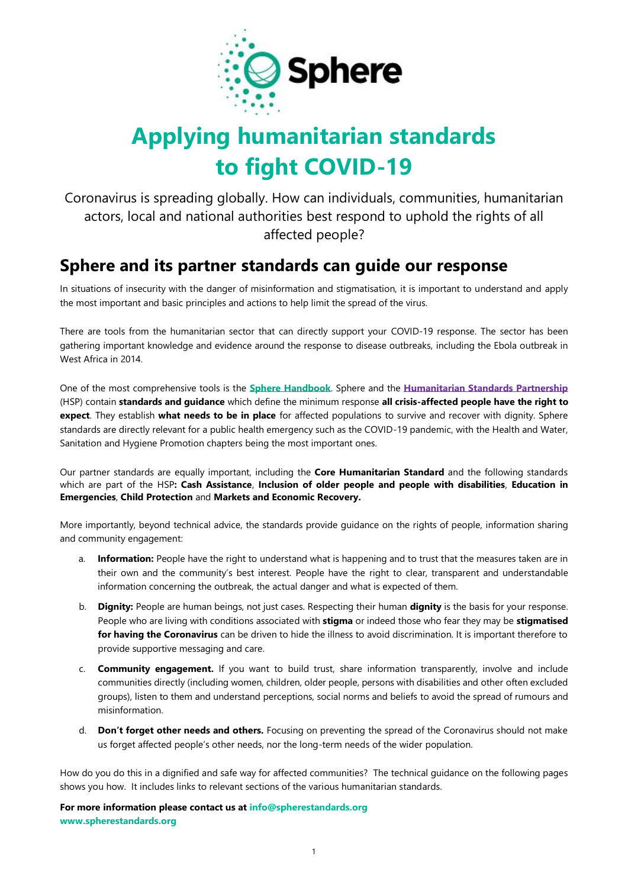

## **Applying humanitarian standards to fight COVID-19**

Coronavirus is spreading globally. How can individuals, communities, humanitarian actors, local and national authorities best respond to uphold the rights of all affected people?

### **Sphere and its partner standards can guide our response**

In situations of insecurity with the danger of misinformation and stigmatisation, it is important to understand and apply the most important and basic principles and actions to help limit the spread of the virus.

There are tools from the humanitarian sector that can directly support your COVID-19 response. The sector has been gathering important knowledge and evidence around the response to disease outbreaks, including the Ebola outbreak in West Africa in 2014.

One of the most comprehensive tools is the **[Sphere Handbook](http://spherestandards.org/handbook-2018)**. Sphere and the **[Humanitarian Standards Partnership](http://www.humanitarianstandardspartnership.org/)** (HSP) contain **standards and guidance** which define the minimum response **all crisis-affected people have the right to expect**. They establish **what needs to be in place** for affected populations to survive and recover with dignity. Sphere standards are directly relevant for a public health emergency such as the COVID-19 pandemic, with the Health and Water, Sanitation and Hygiene Promotion chapters being the most important ones.

Our partner standards are equally important, including the **Core Humanitarian Standard** and the following standards which are part of the HSP**: Cash Assistance**, **Inclusion of older people and people with disabilities**, **Education in Emergencies**, **Child Protection** and **Markets and Economic Recovery.**

More importantly, beyond technical advice, the standards provide guidance on the rights of people, information sharing and community engagement:

- Information: People have the right to understand what is happening and to trust that the measures taken are in their own and the community's best interest. People have the right to clear, transparent and understandable information concerning the outbreak, the actual danger and what is expected of them.
- b. **Dignity:** People are human beings, not just cases. Respecting their human **dignity** is the basis for your response. People who are living with conditions associated with **stigma** or indeed those who fear they may be **stigmatised for having the Coronavirus** can be driven to hide the illness to avoid discrimination. It is important therefore to provide supportive messaging and care.
- c. **Community engagement.** If you want to build trust, share information transparently, involve and include communities directly (including women, children, older people, persons with disabilities and other often excluded groups), listen to them and understand perceptions, social norms and beliefs to avoid the spread of rumours and misinformation.
- d. **Don't forget other needs and others.** Focusing on preventing the spread of the Coronavirus should not make us forget affected people's other needs, nor the long-term needs of the wider population.

How do you do this in a dignified and safe way for affected communities? The technical guidance on the following pages shows you how. It includes links to relevant sections of the various humanitarian standards.

**For more information please contact us a[t info@spherestandards.org](mailto:info@spherestandards.org) ww[w.spherestandards.org](https://spherestandards.org/)**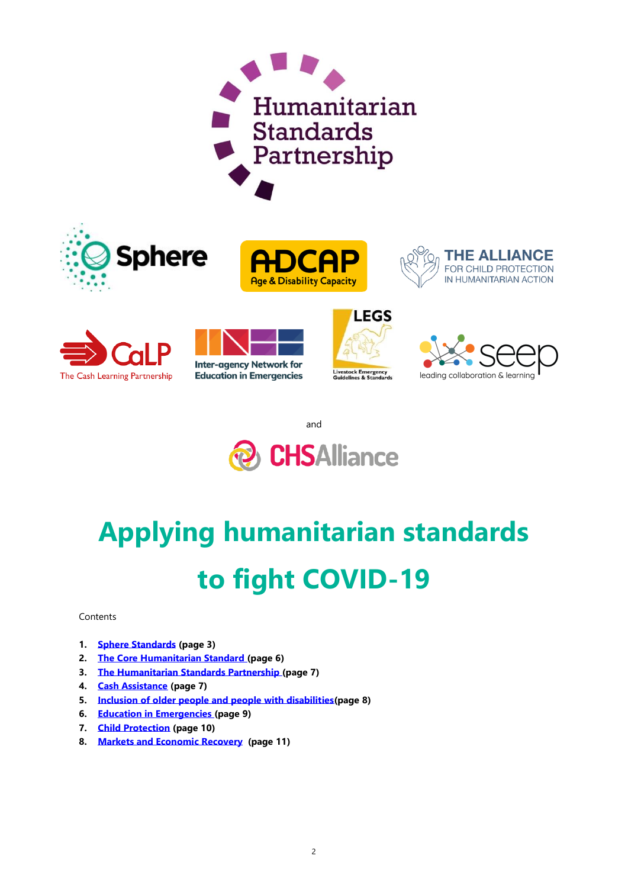















and



# **Applying humanitarian standards to fight COVID-19**

#### Contents

- **1. [Sphere Standards](#page-2-0) (page 3)**
- **2. [The Core Humanitarian Standard](#page-5-0) (page 6)**
- **3. The [Humanitarian Standards Partnership](#page-6-0) (page 7)**
- **4. [Cash Assistance](#page-6-1) (page 7)**
- **5. [Inclusion of older people and people with disabilities\(](#page-7-0)page 8)**
- **6. [Education in Emergencies](#page-8-0) (page 9)**
- **7. [Child Protection](#page-9-0) (page 10)**
- **8. [Markets and Economic Recovery](#page-10-0) (page 11)**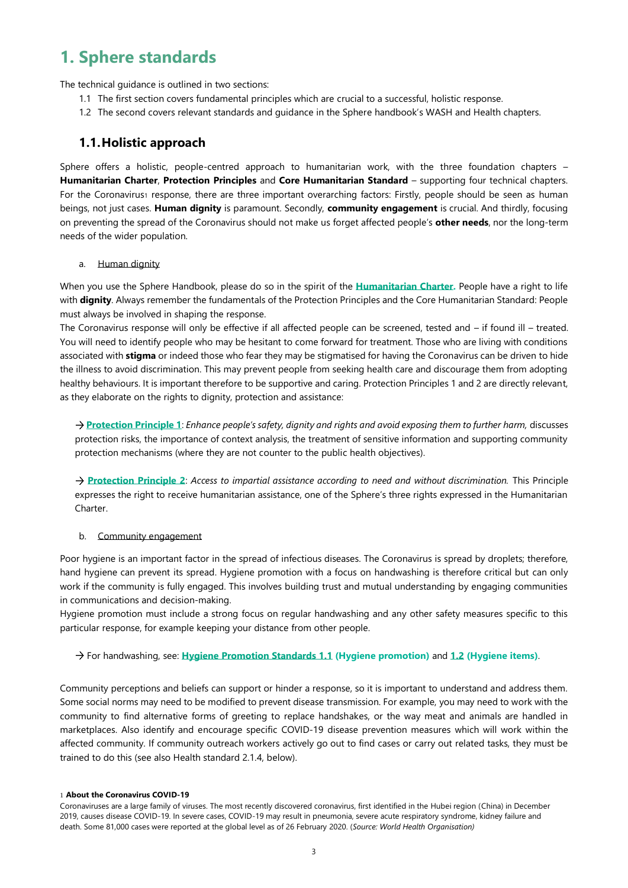### <span id="page-2-0"></span>**1. Sphere standards**

The technical guidance is outlined in two sections:

- 1.1 The first section covers fundamental principles which are crucial to a successful, holistic response.
- 1.2 The second covers relevant standards and guidance in the Sphere handbook's WASH and Health chapters.

#### **1.1.Holistic approach**

Sphere offers a holistic, people-centred approach to humanitarian work, with the three foundation chapters – **Humanitarian Charter**, **Protection Principles** and **Core Humanitarian Standard** – supporting four technical chapters. For the Coronavirus1 response, there are three important overarching factors: Firstly, people should be seen as human beings, not just cases. **Human dignity** is paramount. Secondly, **community engagement** is crucial. And thirdly, focusing on preventing the spread of the Coronavirus should not make us forget affected people's **other needs**, nor the long-term needs of the wider population.

#### a. Human dignity

When you use the Sphere Handbook, please do so in the spirit of the **[Humanitarian Charter.](https://handbook.spherestandards.org/en/sphere/#ch003_001)** People have a right to life with **dignity**. Always remember the fundamentals of the Protection Principles and the Core Humanitarian Standard: People must always be involved in shaping the response.

The Coronavirus response will only be effective if all affected people can be screened, tested and – if found ill – treated. You will need to identify people who may be hesitant to come forward for treatment. Those who are living with conditions associated with **stigma** or indeed those who fear they may be stigmatised for having the Coronavirus can be driven to hide the illness to avoid discrimination. This may prevent people from seeking health care and discourage them from adopting healthy behaviours. It is important therefore to be supportive and caring. Protection Principles 1 and 2 are directly relevant, as they elaborate on the rights to dignity, protection and assistance:

**[Protection Principle 1](https://handbook.spherestandards.org/en/sphere/#ch004_002_002)**: *Enhance people's safety, dignity and rights and avoid exposing them to further harm,* discusses protection risks, the importance of context analysis, the treatment of sensitive information and supporting community protection mechanisms (where they are not counter to the public health objectives).

**[Protection Principle 2](https://handbook.spherestandards.org/en/sphere/#ch004_002_003)**: *Access to impartial assistance according to need and without discrimination.* This Principle expresses the right to receive humanitarian assistance, one of the Sphere's three rights expressed in the Humanitarian Charter.

#### b. Community engagement

Poor hygiene is an important factor in the spread of infectious diseases. The Coronavirus is spread by droplets; therefore, hand hygiene can prevent its spread. Hygiene promotion with a focus on handwashing is therefore critical but can only work if the community is fully engaged. This involves building trust and mutual understanding by engaging communities in communications and decision-making.

Hygiene promotion must include a strong focus on regular handwashing and any other safety measures specific to this particular response, for example keeping your distance from other people.

#### For handwashing, see: **[Hygiene Promotion Standards 1.1](https://handbook.spherestandards.org/en/sphere/#ch006_003_001) (Hygiene promotion)** and **[1.2](https://handbook.spherestandards.org/en/sphere/#ch006_003_002) (Hygiene items)**.

Community perceptions and beliefs can support or hinder a response, so it is important to understand and address them. Some social norms may need to be modified to prevent disease transmission. For example, you may need to work with the community to find alternative forms of greeting to replace handshakes, or the way meat and animals are handled in marketplaces. Also identify and encourage specific COVID-19 disease prevention measures which will work within the affected community. If community outreach workers actively go out to find cases or carry out related tasks, they must be trained to do this (see also Health standard 2.1.4, below).

#### 1 **About the Coronavirus COVID-19**

Coronaviruses are a large family of viruses. The most recently discovered coronavirus, first identified in the Hubei region (China) in December 2019, causes disease COVID-19. In severe cases, COVID-19 may result in pneumonia, severe acute respiratory syndrome, kidney failure and death. Some 81,000 cases were reported at the global level as of 26 February 2020. (*Source: World Health Organisation)*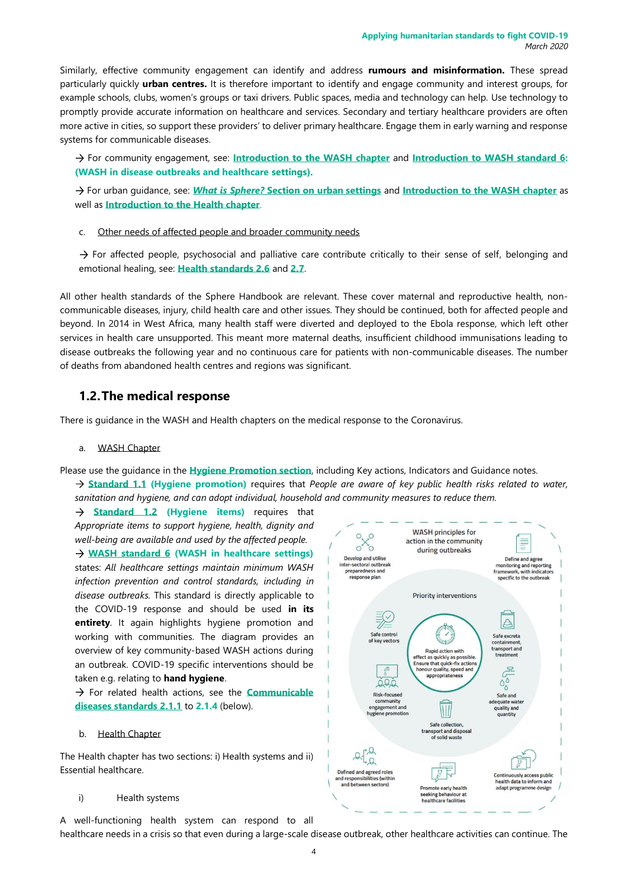Similarly, effective community engagement can identify and address **rumours and misinformation.** These spread particularly quickly **urban centres.** It is therefore important to identify and engage community and interest groups, for example schools, clubs, women's groups or taxi drivers. Public spaces, media and technology can help. Use technology to promptly provide accurate information on healthcare and services. Secondary and tertiary healthcare providers are often more active in cities, so support these providers' to deliver primary healthcare. Engage them in early warning and response systems for communicable diseases.

For community engagement, see: **[Introduction to the WASH chapter](https://handbook.spherestandards.org/en/sphere/#ch006)** and **[Introduction to WASH standard 6:](https://handbook.spherestandards.org/en/sphere/#ch006_008) (WASH in disease outbreaks and healthcare settings).**

For urban guidance, see: *What is Sphere?* **[Section on urban settings](https://handbook.spherestandards.org/en/sphere/#ch002_002_005_003)** and **[Introduction to the WASH chapter](https://handbook.spherestandards.org/en/sphere/#ch006)** as well as **[Introduction to the Health chapter](https://handbook.spherestandards.org/en/sphere/#ch009)**.

c. Other needs of affected people and broader community needs

 $\rightarrow$  For affected people, psychosocial and palliative care contribute critically to their sense of self, belonging and emotional healing, see: **[Health standards 2.6](https://handbook.spherestandards.org/en/sphere/#ch009_004_006)** and **[2.7](https://handbook.spherestandards.org/en/sphere/#ch009_004_007)**.

All other health standards of the Sphere Handbook are relevant. These cover maternal and reproductive health, noncommunicable diseases, injury, child health care and other issues. They should be continued, both for affected people and beyond. In 2014 in West Africa, many health staff were diverted and deployed to the Ebola response, which left other services in health care unsupported. This meant more maternal deaths, insufficient childhood immunisations leading to disease outbreaks the following year and no continuous care for patients with non-communicable diseases. The number of deaths from abandoned health centres and regions was significant.

#### **1.2.The medical response**

There is guidance in the WASH and Health chapters on the medical response to the Coronavirus.

#### a. WASH Chapter

Please use the guidance in the **[Hygiene Promotion section](https://handbook.spherestandards.org/en/sphere/#ch006_003)**, including Key actions, Indicators and Guidance notes. **[Standard 1.1](https://handbook.spherestandards.org/en/sphere/#ch006_003_001) (Hygiene promotion)** requires that *People are aware of key public health risks related to water, sanitation and hygiene, and can adopt individual, household and community measures to reduce them.* 

**[Standard 1.2](https://handbook.spherestandards.org/en/sphere/#ch006_003_002) (Hygiene items)** requires that *Appropriate items to support hygiene, health, dignity and well-being are available and used by the affected people.* **[WASH standard 6](https://handbook.spherestandards.org/en/sphere/#ch006_008) (WASH in healthcare settings)** states: *All healthcare settings maintain minimum WASH infection prevention and control standards, including in disease outbreaks.* This standard is directly applicable to the COVID-19 response and should be used **in its entirety**. It again highlights hygiene promotion and working with communities. The diagram provides an overview of key community-based WASH actions during an outbreak. COVID-19 specific interventions should be taken e.g. relating to **hand hygiene**.

 $\rightarrow$  For related health actions, see the **Communicable [diseases standards 2.1.1](https://handbook.spherestandards.org/en/sphere/#ch009_004_001)** to **2.1.4** (below).

#### **Health Chapter**

The Health chapter has two sections: i) Health systems and ii) Essential healthcare.

#### i) Health systems

A well-functioning health system can respond to all healthcare needs in a crisis so that even during a large-scale disease outbreak, other healthcare activities can continue. The

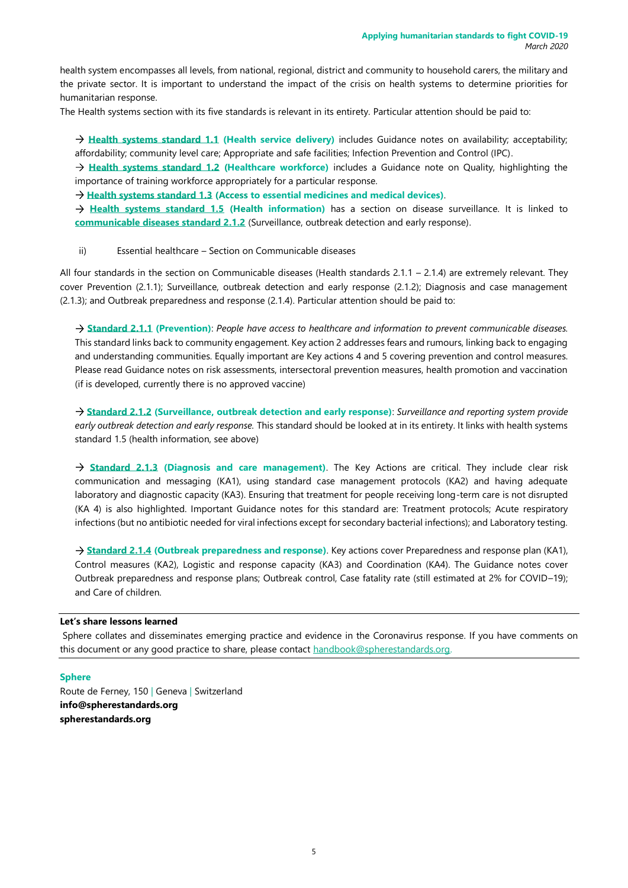health system encompasses all levels, from national, regional, district and community to household carers, the military and the private sector. It is important to understand the impact of the crisis on health systems to determine priorities for humanitarian response.

The Health systems section with its five standards is relevant in its entirety. Particular attention should be paid to:

**[Health systems standard 1.1](https://handbook.spherestandards.org/en/sphere/#ch009_003_001) (Health service delivery)** includes Guidance notes on availability; acceptability; affordability; community level care; Appropriate and safe facilities; Infection Prevention and Control (IPC).

**[Health systems standard 1.2](https://handbook.spherestandards.org/en/sphere/#ch009_003_001_002) (Healthcare workforce)** includes a Guidance note on Quality, highlighting the importance of training workforce appropriately for a particular response.

**[Health systems standard 1.3](https://handbook.spherestandards.org/en/sphere/#ch009_003_001_003) (Access to essential medicines and medical devices)**.

**[Health systems standard 1.5](https://handbook.spherestandards.org/en/sphere/#ch009_003_001_005) (Health information)** has a section on disease surveillance. It is linked to **[communicable diseases standard 2.1.2](https://handbook.spherestandards.org/en/sphere/#ch009_004_001_002)** (Surveillance, outbreak detection and early response).

#### ii) Essential healthcare – Section on Communicable diseases

All four standards in the section on Communicable diseases (Health standards 2.1.1 – 2.1.4) are extremely relevant. They cover Prevention (2.1.1); Surveillance, outbreak detection and early response (2.1.2); Diagnosis and case management (2.1.3); and Outbreak preparedness and response (2.1.4). Particular attention should be paid to:

**[Standard 2.1.1](https://handbook.spherestandards.org/en/sphere/#ch009_004_001) (Prevention)**: *People have access to healthcare and information to prevent communicable diseases.*  This standard links back to community engagement. Key action 2 addresses fears and rumours, linking back to engaging and understanding communities. Equally important are Key actions 4 and 5 covering prevention and control measures. Please read Guidance notes on risk assessments, intersectoral prevention measures, health promotion and vaccination (if is developed, currently there is no approved vaccine)

**[Standard 2.1.2](https://handbook.spherestandards.org/en/sphere/#ch009_004_001_002) (Surveillance, outbreak detection and early response)**: *Surveillance and reporting system provide early outbreak detection and early response.* This standard should be looked at in its entirety. It links with health systems standard 1.5 (health information, see above)

**[Standard 2.1.3](https://handbook.spherestandards.org/en/sphere/#ch009_004_001_003) (Diagnosis and care management)**. The Key Actions are critical. They include clear risk communication and messaging (KA1), using standard case management protocols (KA2) and having adequate laboratory and diagnostic capacity (KA3). Ensuring that treatment for people receiving long-term care is not disrupted (KA 4) is also highlighted. Important Guidance notes for this standard are: Treatment protocols; Acute respiratory infections (but no antibiotic needed for viral infections except for secondary bacterial infections); and Laboratory testing.

**[Standard 2.1.4](https://handbook.spherestandards.org/en/sphere/#ch009_004_001_004) (Outbreak preparedness and response)**. Key actions cover Preparedness and response plan (KA1), Control measures (KA2), Logistic and response capacity (KA3) and Coordination (KA4). The Guidance notes cover Outbreak preparedness and response plans; Outbreak control, Case fatality rate (still estimated at 2% for COVID–19); and Care of children.

#### **Let's share lessons learned**

Sphere collates and disseminates emerging practice and evidence in the Coronavirus response. If you have comments on this document or any good practice to share, please contact [handbook@spherestandards.org.](mailto:handbook@spherestandards.org)

#### **Sphere**

Route de Ferney, 150 | Geneva | Switzerland **[info@spherestandards.org](mailto:info@spherestandards.org) [spherestandards.org](https://spherestandards.org/)**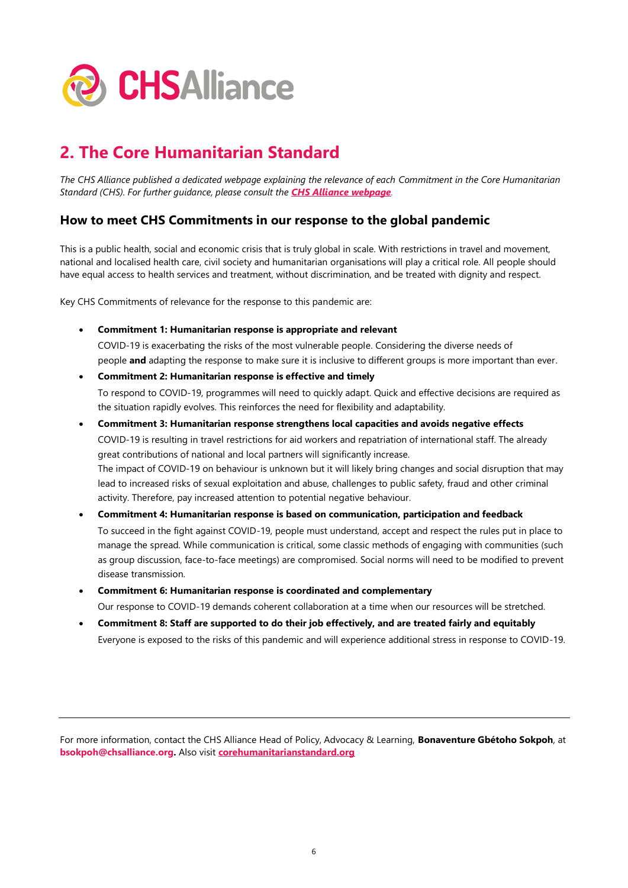

### <span id="page-5-0"></span>**2. The Core Humanitarian Standard**

*The CHS Alliance published a dedicated webpage explaining the relevance of each Commitment in the Core Humanitarian Standard (CHS). For further guidance, please consult the [CHS Alliance webpage](https://www.chsalliance.org/get-support/article/covid-19-and-the-chs/).* 

#### **How to meet CHS Commitments in our response to the global pandemic**

This is a public health, social and economic crisis that is truly global in scale. With restrictions in travel and movement, national and localised health care, civil society and humanitarian organisations will play a critical role. All people should have equal access to health services and treatment, without discrimination, and be treated with dignity and respect.

Key CHS Commitments of relevance for the response to this pandemic are:

• **Commitment 1: Humanitarian response is appropriate and relevant**

COVID-19 is exacerbating the risks of the most vulnerable people. Considering the diverse needs of people **and** adapting the response to make sure it is inclusive to different groups is more important than ever.

### • **Commitment 2: Humanitarian response is effective and timely**

To respond to COVID-19, programmes will need to quickly adapt. Quick and effective decisions are required as the situation rapidly evolves. This reinforces the need for flexibility and adaptability.

• **Commitment 3: Humanitarian response strengthens local capacities and avoids negative effects** COVID-19 is resulting in travel restrictions for aid workers and repatriation of international staff. The already great contributions of national and local partners will significantly increase. The impact of COVID-19 on behaviour is unknown but it will likely bring changes and social disruption that may lead to increased risks of sexual exploitation and abuse, challenges to public safety, fraud and other criminal activity. Therefore, pay increased attention to potential negative behaviour.

#### • **Commitment 4: Humanitarian response is based on communication, participation and feedback** To succeed in the fight against COVID-19, people must understand, accept and respect the rules put in place to manage the spread. While communication is critical, some classic methods of engaging with communities (such as group discussion, face-to-face meetings) are compromised. Social norms will need to be modified to prevent disease transmission.

- **Commitment 6: Humanitarian response is coordinated and complementary** Our response to COVID-19 demands coherent collaboration at a time when our resources will be stretched.
- **Commitment 8: Staff are supported to do their job effectively, and are treated fairly and equitably** Everyone is exposed to the risks of this pandemic and will experience additional stress in response to COVID-19.

For more information, contact the CHS Alliance Head of Policy, Advocacy & Learning, **Bonaventure Gbétoho Sokpoh**, at **bsokpoh@chsalliance.org.** Also visit **[corehumanitarianstandard.org](http://www.corehumanitarianstardard.org/)**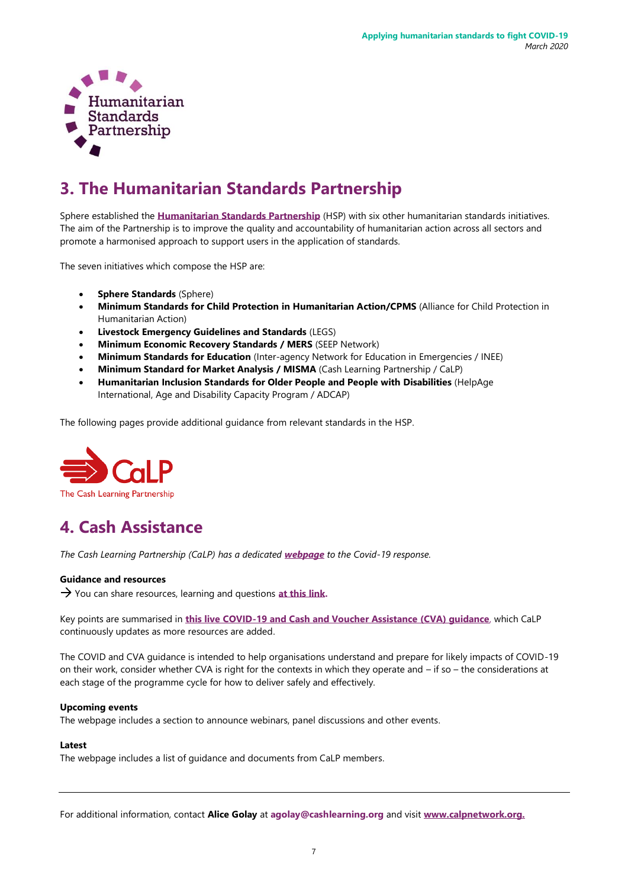

### <span id="page-6-0"></span>**3. The Humanitarian Standards Partnership**

Sphere established the **[Humanitarian Standards Partnership](http://spherestandards.org/hsp)** (HSP) with six other humanitarian standards initiatives. The aim of the Partnership is to improve the quality and accountability of humanitarian action across all sectors and promote a harmonised approach to support users in the application of standards.

The seven initiatives which compose the HSP are:

- **Sphere Standards** (Sphere)
- **[Minimum Standards for Child Protection](https://spherestandards.org/resources/minimum-standards-for-child-protection-in-humanitarian-action-cpms/) in Humanitarian Action/CPMS** [\(Alliance for Child Protection in](http://cpwg.net/minimum-standards/)  [Humanitarian Action\)](http://cpwg.net/minimum-standards/)
- **[Livestock Emergency Guidelines and Standards](https://spherestandards.org/resources/legs-handbook/)** [\(LEGS\)](http://www.livestock-emergency.net/)
- **[Minimum Economic Recovery Standards](https://spherestandards.org/resources/minimum-economic-recovery-standards-mers-english/) / MERS** [\(SEEP Network\)](http://seepnetwork.org/)
- **[Minimum Standards for Education](https://spherestandards.org/resources/inee-english/)** (Inter-agency Network for Education in Emergencies / INEE)
- **[Minimum Standard for Market Analysis](https://spherestandards.org/resources/minimum-standard-for-market-analysis-misma/) / MISMA** [\(Cash Learning Partnership / CaLP\)](http://www.cashlearning.org/)
- **[Humanitarian Inclusion Standards for Older People and People with Disabilities](https://spherestandards.org/resources/humanitarian-inclusion-standards-for-older-people-and-people-with-disabilities/)** [\(HelpAge](http://www.helpage.org/)  [International,](http://www.helpage.org/) [Age and Disability Capacity Program / ADCAP\)](http://www.helpage.org/what-we-do/emergencies/adcap-age-and-disability-capacity-building-programme/)

The following pages provide additional guidance from relevant standards in the HSP.



### <span id="page-6-1"></span>**4. Cash Assistance**

*The Cash Learning Partnership (CaLP) has a dedicated [webpage](https://www.calpnetwork.org/themes/cva-and-covid-19-resources-guidance-events-and-questions/) to the Covid-19 response.*

#### **Guidance and resources**

You can share resources, learning and questions **[at this link.](https://docs.google.com/document/d/1Vk6ShfDS-_kVVGeGcNzFXhKLSMgK-VyDfa09ZkhWZOE/edit)**

Key points are summarised in **this live COVID-19 and Cash and Voucher [Assistance](https://www.calpnetwork.org/publication/cva-in-covid-19-contexts-guidance-from-the-calp-network/) (CVA) guidance**, which CaLP continuously updates as more resources are added.

The COVID and CVA guidance is intended to help organisations understand and prepare for likely impacts of COVID-19 on their work, consider whether CVA is right for the contexts in which they operate and – if so – the considerations at each stage of the programme cycle for how to deliver safely and effectively.

#### **Upcoming events**

The webpage includes a section to announce webinars, panel discussions and other events.

#### **Latest**

The webpage includes a list of guidance and documents from CaLP members.

For additional information, contact **Alice Golay** at **agolay@cashlearning.org** and visit **[www.calpnetwork.org.](http://www.calpnetwork.org./)**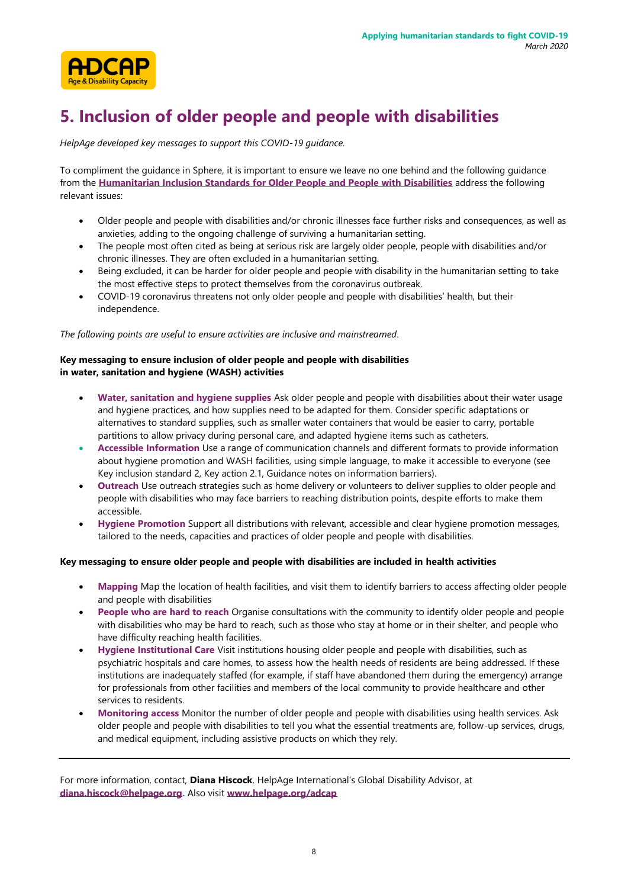

### <span id="page-7-0"></span>**5. Inclusion of older people and people with disabilities**

*HelpAge developed key messages to support this COVID-19 guidance.*

To compliment the guidance in Sphere, it is important to ensure we leave no one behind and the following guidance from the **Humanitarian Inclusion Standards [for Older People and People with Disabilities](https://spherestandards.org/resources/humanitarian-inclusion-standards-for-older-people-and-people-with-disabilities/)** address the following relevant issues:

- Older people and people with disabilities and/or chronic illnesses face further risks and consequences, as well as anxieties, adding to the ongoing challenge of surviving a humanitarian setting.
- The people most often cited as being at serious risk are largely older people, people with disabilities and/or chronic illnesses. They are often excluded in a humanitarian setting.
- Being excluded, it can be harder for older people and people with disability in the humanitarian setting to take the most effective steps to protect themselves from the coronavirus outbreak.
- COVID-19 coronavirus threatens not only older people and people with disabilities' health, but their independence.

*The following points are useful to ensure activities are inclusive and mainstreamed.*

#### **Key messaging to ensure inclusion of older people and people with disabilities in water, sanitation and hygiene (WASH) activities**

- **Water, sanitation and hygiene supplies** Ask older people and people with disabilities about their water usage and hygiene practices, and how supplies need to be adapted for them. Consider specific adaptations or alternatives to standard supplies, such as smaller water containers that would be easier to carry, portable partitions to allow privacy during personal care, and adapted hygiene items such as catheters.
- **Accessible Information** Use a range of communication channels and different formats to provide information about hygiene promotion and WASH facilities, using simple language, to make it accessible to everyone (see Key inclusion standard 2, Key action 2.1, Guidance notes on information barriers).
- **Outreach** Use outreach strategies such as home delivery or volunteers to deliver supplies to older people and people with disabilities who may face barriers to reaching distribution points, despite efforts to make them accessible.
- **Hygiene Promotion** Support all distributions with relevant, accessible and clear hygiene promotion messages, tailored to the needs, capacities and practices of older people and people with disabilities.

#### **Key messaging to ensure older people and people with disabilities are included in health activities**

- **Mapping** Map the location of health facilities, and visit them to identify barriers to access affecting older people and people with disabilities
- **People who are hard to reach** Organise consultations with the community to identify older people and people with disabilities who may be hard to reach, such as those who stay at home or in their shelter, and people who have difficulty reaching health facilities.
- **Hygiene Institutional Care** Visit institutions housing older people and people with disabilities, such as psychiatric hospitals and care homes, to assess how the health needs of residents are being addressed. If these institutions are inadequately staffed (for example, if staff have abandoned them during the emergency) arrange for professionals from other facilities and members of the local community to provide healthcare and other services to residents.
- **Monitoring access** Monitor the number of older people and people with disabilities using health services. Ask older people and people with disabilities to tell you what the essential treatments are, follow-up services, drugs, and medical equipment, including assistive products on which they rely.

For more information, contact, **Diana Hiscock**, HelpAge International's Global Disability Advisor, at **[diana.hiscock@helpage.org.](mailto:diana.hiscock@helpage.org)** Also visit **ww[w.helpage.org/adcap](https://www.helpage.org/adcap)**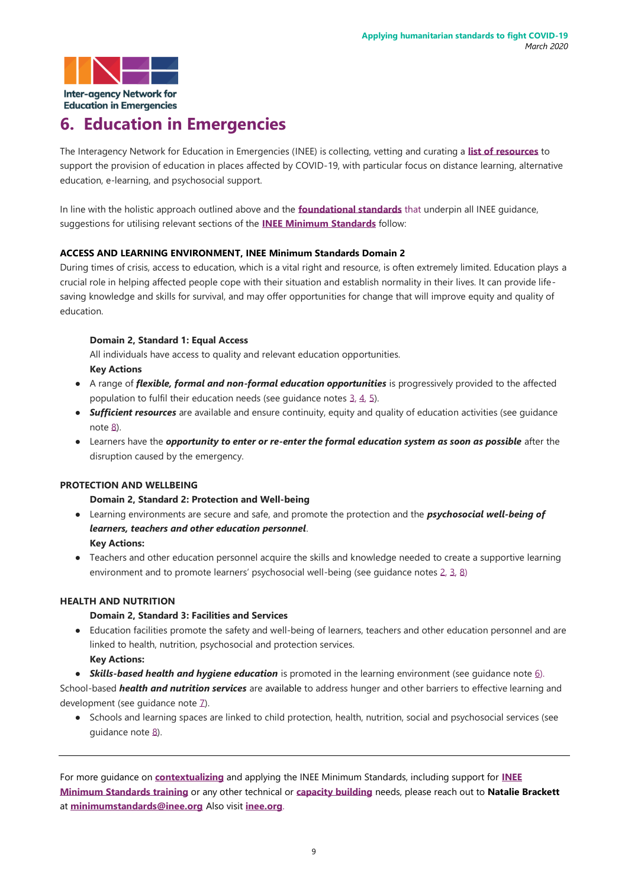

### <span id="page-8-0"></span>**6. Education in Emergencies**

The Interagency Network for Education in Emergencies (INEE) is collecting, vetting and curating a **[list of resources](https://inee.org/collections/coronavirus-covid-19)** to support the provision of education in places affected by COVID-19, with particular focus on distance learning, alternative education, e-learning, and psychosocial support.

In line with the holistic approach outlined above and the **[foundational standards](https://inee.org/standards/domain-1-foundational-standards)** that underpin all INEE guidance, suggestions for utilising relevant sections of the **[INEE Minimum Standards](https://inee.org/standards)** follow:

#### **ACCESS AND LEARNING ENVIRONMENT, INEE Minimum Standards Domain 2**

During times of crisis, access to education, which is a vital right and resource, is often extremely limited. Education plays a crucial role in helping affected people cope with their situation and establish normality in their lives. It can provide lifesaving knowledge and skills for survival, and may offer opportunities for change that will improve equity and quality of education.

#### **Domain 2, Standard 1: Equal Access**

All individuals have access to quality and relevant education opportunities. **Key Actions** 

- A range of *flexible, formal and non-formal education opportunities* is progressively provided to the affected population to fulfil their education needs (see guidance note[s 3,](https://inee.org/standards/domain-2-access-and-learning-environment#guidance-nid7556-3) [4,](https://inee.org/standards/domain-2-access-and-learning-environment#guidance-nid7556-4) [5\)](https://inee.org/standards/domain-2-access-and-learning-environment#guidance-nid7556-5).
- *Sufficient resources* are available and ensure continuity, equity and quality of education activities (see guidance not[e 8\)](https://inee.org/standards/domain-2-access-and-learning-environment#guidance-nid7556-8).
- Learners have the *opportunity to enter or re-enter the formal education system as soon as possible* after the disruption caused by the emergency.

#### **PROTECTION AND WELLBEING**

#### **Domain 2, Standard 2: Protection and Well-being**

- Learning environments are secure and safe, and promote the protection and the *psychosocial well-being of learners, teachers and other education personnel*. **Key Actions:**
- Teachers and other education personnel acquire the skills and knowledge needed to create a supportive learning environment and to promote learners' psychosocial well-being (see guidance notes [2,](https://inee.org/standards/domain-2-access-and-learning-environment#guidance-nid7557-2) [3,](https://inee.org/standards/domain-2-access-and-learning-environment#guidance-nid7557-3) [8\)](https://inee.org/standards/domain-2-access-and-learning-environment#guidance-nid7557-8)

#### **HEALTH AND NUTRITION**

#### **Domain 2, Standard 3: Facilities and Services**

- Education facilities promote the safety and well-being of learners, teachers and other education personnel and are linked to health, nutrition, psychosocial and protection services. **Key Actions:**
- *Skills-based health and hygiene education* is promoted in the learning environment (see guidance note [6\)](https://inee.org/standards/domain-2-access-and-learning-environment#guidance-nid7558-6).

School-based *health and nutrition services* are available to address hunger and other barriers to effective learning and development (see quidance note Z).

● Schools and learning spaces are linked to child protection, health, nutrition, social and psychosocial services (see guidance note [8\).](https://inee.org/standards/domain-2-access-and-learning-environment#guidance-nid7558-8)

For more guidance on **[contextualizing](https://inee.org/collections/inee-minimum-standards-contextualizations)** and applying the INEE Minimum Standards, including support for **[INEE](https://inee.org/collections/eie-harmonized-training-package)  [Minimum Standards](https://inee.org/collections/eie-harmonized-training-package) training** or any other technical or **[capacity building](https://inee.org/collections/training-and-capacity-development)** needs, please reach out to **Natalie Brackett** at **minimumstandards@inee.org** Also visit **[inee.org](http://inee.org/)**.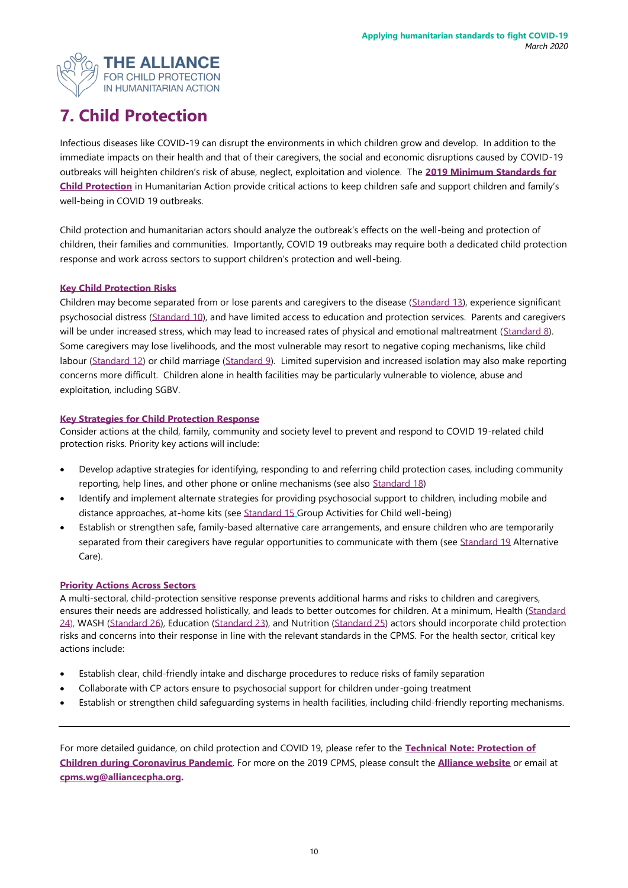

### <span id="page-9-0"></span>**7. Child Protection**

Infectious diseases like COVID-19 can disrupt the environments in which children grow and develop. In addition to the immediate impacts on their health and that of their caregivers, the social and economic disruptions caused by COVID-19 outbreaks will heighten children's risk of abuse, neglect, exploitation and violence. The **[2019 Minimum Standards for](https://handbook.spherestandards.org/en/cpms/#ch001)  [Child Protection](https://handbook.spherestandards.org/en/cpms/#ch001)** in Humanitarian Action provide critical actions to keep children safe and support children and family's well-being in COVID 19 outbreaks.

Child protection and humanitarian actors should analyze the outbreak's effects on the well-being and protection of children, their families and communities. Importantly, COVID 19 outbreaks may require both a dedicated child protection response and work across sectors to support children's protection and well-being.

#### **[Key Child Protection Risks](https://handbook.spherestandards.org/en/cpms/#ch005_001)**

Children may become separated from or lose parents and caregivers to the disease [\(Standard 13\)](https://handbook.spherestandards.org/en/cpms/#ch005_008), experience significant psychosocial distress [\(Standard 10\),](https://handbook.spherestandards.org/en/cpms/#ch005_005) and have limited access to education and protection services. Parents and caregivers will be under increased stress, which may lead to increased rates of physical and emotional maltreatment [\(Standard 8\)](https://handbook.spherestandards.org/en/cpms/#ch005_003). Some caregivers may lose livelihoods, and the most vulnerable may resort to negative coping mechanisms, like child labour [\(Standard 12\)](https://handbook.spherestandards.org/en/cpms/#ch005_007) or child marriage [\(Standard 9\)](https://handbook.spherestandards.org/en/cpms/#ch005_004). Limited supervision and increased isolation may also make reporting concerns more difficult. Children alone in health facilities may be particularly vulnerable to violence, abuse and exploitation, including SGBV.

#### **[Key Strategies for Child Protection](https://handbook.spherestandards.org/en/cpms/#ch006) Response**

Consider actions at the child, family, community and society level to prevent and respond to COVID 19-related child protection risks. Priority key actions will include:

- Develop adaptive strategies for identifying, responding to and referring child protection cases, including community reporting, help lines, and other phone or online mechanisms (see also [Standard 18\)](https://handbook.spherestandards.org/en/cpms/#ch006_006)
- Identify and implement alternate strategies for providing psychosocial support to children, including mobile and distance approaches, at-home kits (see [Standard 15](https://handbook.spherestandards.org/en/cpms/#ch006_003) Group Activities for Child well-being)
- Establish or strengthen safe, family-based alternative care arrangements, and ensure children who are temporarily separated from their caregivers have regular opportunities to communicate with them (se[e Standard 19](https://handbook.spherestandards.org/en/cpms/#ch006_007) Alternative Care).

#### **[Priority Actions Across Sectors](https://handbook.spherestandards.org/en/cpms/#ch007)**

A multi-sectoral, child-protection sensitive response prevents additional harms and risks to children and caregivers, ensures their needs are addressed holistically, and leads to better outcomes for children. At a minimum, Health [\(Standard](https://handbook.spherestandards.org/en/cpms/#ch007_005)  [24\)](https://handbook.spherestandards.org/en/cpms/#ch007_005), WASH [\(Standard 26\)](https://handbook.spherestandards.org/en/cpms/#ch007_007), Education [\(Standard 23\)](https://handbook.spherestandards.org/en/cpms/#ch007_004), and Nutrition [\(Standard 25\)](https://handbook.spherestandards.org/en/cpms/#ch007_006) actors should incorporate child protection risks and concerns into their response in line with the relevant standards in the CPMS. For the health sector, critical key actions include:

- Establish clear, child-friendly intake and discharge procedures to reduce risks of family separation
- Collaborate with CP actors ensure to psychosocial support for children under-going treatment
- Establish or strengthen child safeguarding systems in health facilities, including child-friendly reporting mechanisms.

For more detailed guidance, on child protection and COVID 19, please refer to the **[Technical Note: Protection of](https://alliancecpha.org/en/COVD19)  [Children during Coronavirus Pandemic](https://alliancecpha.org/en/COVD19)**. For more on the 2019 CPMS, please consult the **[Alliance website](https://alliancecpha.org/en/CPMS_home)** or email at **[cpms.wg@alliancecpha.org.](mailto:cpms.wg@alliancecpha.org)**